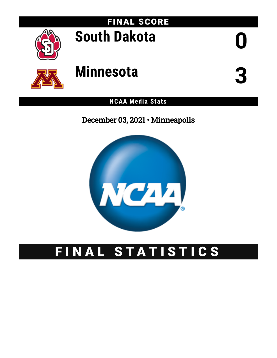

December 03, 2021 • Minneapolis



# FINAL STATISTICS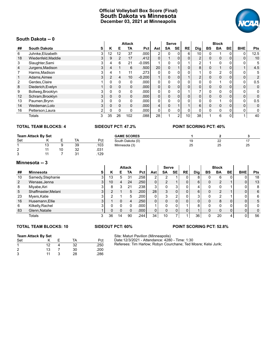# **Official Volleyball Box Score (Final) South Dakota vs Minnesota December 03, 2021 at Minneapolis**



## **South Dakota -- 0**

|                | ovuul Danvla -- v   |   |                |                |               |          |                |          |                |              |                |              |                |              |            |      |
|----------------|---------------------|---|----------------|----------------|---------------|----------|----------------|----------|----------------|--------------|----------------|--------------|----------------|--------------|------------|------|
|                |                     |   |                |                | <b>Attack</b> |          |                | Serve    |                |              |                |              | <b>Block</b>   |              |            |      |
| ##             | <b>South Dakota</b> | s | Κ              | Е              | TA            | Pct      | Ast            | SA       | <b>SE</b>      | RE           | <b>Dig</b>     | BS           | <b>BA</b>      | BE           | <b>BHE</b> | Pts  |
| 6              | Juhnke, Elizabeth   | 3 | 12             | 12             | 37            | .000     |                |          |                | 6            | 10             |              |                |              | 0          | 12.5 |
| 18             | Wiedenfeld, Maddie  | 3 | 9              | $\overline{2}$ | 17            | .412     | 0              |          | 0              |              | $\overline{2}$ | 0            | $\mathbf{0}$   | 0            | 0          | 10   |
| 3              | Slaughter, Sami     | 3 | 4              | 6              | 21            | $-0.095$ |                |          | 0              |              | 2              |              | $\Omega$       | 0            | 0          | 5    |
| $\overline{4}$ | Jurgens, Madison    | 3 | 4              |                | 6             | .500     | 20             | 0        |                | $\mathbf 0$  | 8              | 0            | $\overline{A}$ | 0            |            | 4.5  |
|                | Harms, Madison      | 3 |                |                | 11            | .273     | 0              |          | 0              |              |                |              | 2              |              | 0          | 5    |
|                | Adams, Aimee        |   | $\overline{2}$ | 4              | 10            | $-0.200$ |                | 0        | 0              |              | $\overline{2}$ | 0            | $\mathbf{0}$   | $\Omega$     | 0          | 2    |
| $\overline{2}$ | Gerdes, Claire      |   | 0              | $\mathbf{0}$   | $\Omega$      | .000     | 0              |          | 0              |              | 0              | $\mathbf{0}$ | 4              | 0            | 0          | 0.5  |
| 8              | Diederich, Evelyn   |   | 0              | $\Omega$       | $\Omega$      | .000     | $\Omega$       | 0        | 0              | $\mathbf{0}$ | 0              | 0            | $\mathbf{0}$   | $\mathbf{0}$ | 0          | 0    |
| 9              | Bollweg, Brooklyn   |   |                | 0              | $\Omega$      | .000     | 0              |          |                |              |                | 0            | 0              |              | 0          | 0    |
| 12             | Schram, Brooklyn    | 3 | 0              | $\mathbf 0$    | 0             | .000     | $\overline{0}$ | 0        | 0              | 0            | 0              | 0            | $\mathbf{0}$   | 0            | 0          | 0    |
| 13             | Paumen, Brynn       | 3 | 0              | 0              | 0             | .000     | 0              |          | 0              | U            | 0              | 0            | 4              | 0            | 0          | 0.5  |
| 14             | Weideman, Lolo      | 3 | 0              | $\Omega$       | $\Omega$      | .000     | 4              | $\Omega$ |                |              | 6              | 0            | $\Omega$       | 0            | 0          | 0    |
| 16             | Petterson, Laura    |   | 0              | 0              | $\Omega$      | .000     | $\mathbf{0}$   |          |                |              | 0              | 0            | 0              |              | 0          | 0    |
|                | <b>Totals</b>       | 3 | 35             | 26             | 102           | 880.     | 28             |          | $\overline{2}$ | 10           | 38             |              | 6              | 0            |            | 40   |

### **TOTAL TEAM BLOCKS: 4 SIDEOUT PCT: 47.2% POINT SCORING PCT: 40%**

| <b>Team Attack By Set</b> |    |    |    | <b>GAME SCORES</b> |                  |    |              |    |
|---------------------------|----|----|----|--------------------|------------------|----|--------------|----|
| Set                       |    |    | TA | Pct                | South Dakota (0) | 19 | $\sim$<br>22 |    |
|                           | 13 |    | 39 | .103               | Minnesota (3)    | 25 | 25           | 25 |
| $\sim$<br>∼               |    | 10 | 32 | .031               |                  |    |              |    |
| ົ<br>u                    | 44 |    | 31 | 129                |                  |    |              |    |

### **Minnesota -- 3**

|    | ט -- inititity o    |                |    |    |               |      |     |                |           |           |     |    |              |    |                |            |
|----|---------------------|----------------|----|----|---------------|------|-----|----------------|-----------|-----------|-----|----|--------------|----|----------------|------------|
|    |                     |                |    |    | <b>Attack</b> |      |     | <b>Serve</b>   |           |           |     |    | <b>Block</b> |    |                |            |
| ## | Minnesota           | s              | n  | Е  | TA            | Pct  | Ast | SA             | <b>SE</b> | <b>RE</b> | Dig | BS | <b>BA</b>    | BE | <b>BHE</b>     | <b>Pts</b> |
| 10 | Samedy, Stephanie   | 3              | 13 | 5  | 31            | .258 |     | ົ              |           |           | 8   |    | 6            | 0  | 0              | 18         |
| 2  | Wenaas, Jenna       | 3 <sup>1</sup> | 10 | 4  | 24            | .250 | 0   | $\overline{2}$ |           | 0         | 6   |    | 2            |    | 0              | 13         |
| 8  | Miyabe, Airi        |                | 8  | 3  | 21            | 238  | 3   | 0              |           |           | 4   |    |              |    | 0              | 8          |
| 5  | Shaffmaster, Melani | 3 <sup>1</sup> |    |    | 5             | .200 | 28  | 3              |           | 0         | 6   |    | 2            |    | 0              | 6          |
| 23 | Myers, Katie        | 3              |    |    | 5             | 200  | 0   | 3              | ົ         | 0         | 3   |    | ົ            |    | 0              | 6          |
| 16 | Husemann, Ellie     | 3              |    |    | 4             | .250 | 0   | 0              |           | 0         | 0   |    | 8            | 0  | 0 <sub>1</sub> | 5          |
| 6  | Kilkelly, Rachel    | 3              |    |    |               | .000 |     | 0              |           |           | 8   |    | $\Omega$     | 0  | 0              | 0          |
| 83 | Glenn, Natalie      |                |    | 0  |               | .000 | 0   | 0              | 0         | 0         |     |    | 0            | 0  | 0              | 0          |
|    | Totals              | 3              | 36 | 14 | 90            | .244 | 34  | 10             |           |           | 36  |    | 20           | 4  | $\overline{0}$ | 56         |

### **TOTAL TEAM BLOCKS: 10 SIDEOUT PCT: 60% POINT SCORING PCT: 52.8%**

# **Team Attack By Set** Set K E TA Pct

| 1              | 12 | 32 | .250 |
|----------------|----|----|------|
| $\overline{2}$ | 13 | 30 | .200 |
| 3              | 11 | 28 | .286 |

Site: Maturi Pavilion (Minneapolis) Date:12/3/2021 - Attendance: 4280 - Time: 1:30 Referees: Tim Harlow; Robyn Courchane; Ted Mosre; Kelsi Jurik;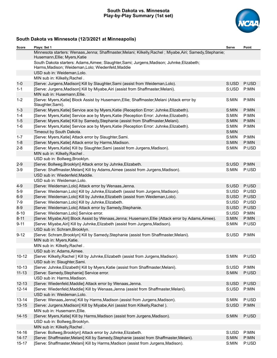# **South Dakota vs. Minnesota Play-by-Play Summary (1st set)**



# **South Dakota vs Minnesota (12/3/2021 at Minneapolis)**

| Score     | Plays: Set 1                                                                                                                                     | Serve | Point |
|-----------|--------------------------------------------------------------------------------------------------------------------------------------------------|-------|-------|
|           | Minnesota starters: Wenaas, Jenna; Shaffmaster, Melani; Kilkelly, Rachel; Miyabe, Airi; Samedy, Stephanie;<br>Husemann, Ellie; Myers, Katie      |       |       |
|           | South Dakota starters: Adams, Aimee; Slaughter, Sami; Jurgens, Madison; Juhnke, Elizabeth;<br>Harms, Madison; Weideman, Lolo; Wiedenfeld, Maddie |       |       |
|           | USD sub in: Weideman, Lolo.                                                                                                                      |       |       |
|           | MIN sub in: Kilkelly, Rachel.                                                                                                                    |       |       |
| $1 - 0$   | [Serve: Jurgens, Madison] Kill by Slaughter, Sami (assist from Weideman, Lolo).                                                                  | S:USD | P:USD |
| $1 - 1$   | [Serve: Jurgens, Madison] Kill by Miyabe, Airi (assist from Shaffmaster, Melani).                                                                | S:USD | P:MIN |
|           | MIN sub in: Husemann, Ellie.                                                                                                                     |       |       |
| $1 - 2$   | [Serve: Myers, Katie] Block Assist by Husemann, Ellie; Shaffmaster, Melani (Attack error by<br>Slaughter, Sami).                                 | S:MIN | P:MIN |
| $1 - 3$   | [Serve: Myers, Katie] Service ace by Myers, Katie (Reception Error: Juhnke, Elizabeth).                                                          | S:MIN | P:MIN |
| $1 - 4$   | [Serve: Myers, Katie] Service ace by Myers, Katie (Reception Error: Juhnke, Elizabeth).                                                          | S:MIN | P:MIN |
| $1-5$     | [Serve: Myers, Katie] Kill by Samedy, Stephanie (assist from Shaffmaster, Melani).                                                               | S:MIN | P:MIN |
| $1 - 6$   | [Serve: Myers, Katie] Service ace by Myers, Katie (Reception Error: Juhnke, Elizabeth).                                                          | S:MIN | P:MIN |
|           | Timeout by South Dakota.                                                                                                                         | S:MIN |       |
| $1 - 7$   | [Serve: Myers, Katie] Attack error by Slaughter, Sami.                                                                                           | S:MIN | P:MIN |
| $1 - 8$   | [Serve: Myers, Katie] Attack error by Harms, Madison.                                                                                            | S:MIN | P:MIN |
| $2 - 8$   | [Serve: Myers, Katie] Kill by Slaughter, Sami (assist from Jurgens, Madison).                                                                    | S:MIN | P:USD |
|           | MIN sub in: Kilkelly, Rachel.                                                                                                                    |       |       |
|           | USD sub in: Bollweg, Brooklyn.                                                                                                                   |       |       |
| $2 - 9$   | [Serve: Bollweg, Brooklyn] Attack error by Juhnke, Elizabeth.                                                                                    | S:USD | P:MIN |
| $3-9$     | [Serve: Shaffmaster, Melani] Kill by Adams, Aimee (assist from Jurgens, Madison).                                                                | S:MIN | P:USD |
|           | USD sub in: Wiedenfeld, Maddie.                                                                                                                  |       |       |
|           | USD sub in: Weideman, Lolo.                                                                                                                      |       |       |
| $4 - 9$   | [Serve: Weideman, Lolo] Attack error by Wenaas, Jenna.                                                                                           | S:USD | P:USD |
| $5-9$     | [Serve: Weideman, Lolo] Kill by Juhnke, Elizabeth (assist from Jurgens, Madison).                                                                | S:USD | P:USD |
| $6-9$     | [Serve: Weideman, Lolo] Kill by Juhnke, Elizabeth (assist from Weideman, Lolo).                                                                  | S:USD | P:USD |
| $7-9$     | [Serve: Weideman, Lolo] Kill by Juhnke, Elizabeth.                                                                                               | S:USD | P:USD |
| $8-9$     | [Serve: Weideman, Lolo] Attack error by Samedy, Stephanie.                                                                                       | S:USD | P:USD |
| $8 - 10$  | [Serve: Weideman, Lolo] Service error.                                                                                                           | S:USD | P:MIN |
| $8 - 11$  | [Serve: Miyabe, Airi] Block Assist by Wenaas, Jenna; Husemann, Ellie (Attack error by Adams, Aimee).                                             | S:MIN | P:MIN |
| $9 - 11$  | [Serve: Miyabe, Airi] Kill by Juhnke, Elizabeth (assist from Jurgens, Madison).                                                                  | S:MIN | P:USD |
|           | USD sub in: Schram, Brooklyn.                                                                                                                    |       |       |
| $9 - 12$  | [Serve: Schram, Brooklyn] Kill by Samedy, Stephanie (assist from Shaffmaster, Melani).                                                           | S:USD | P:MIN |
|           | MIN sub in: Myers, Katie.                                                                                                                        |       |       |
|           | MIN sub in: Kilkelly, Rachel.                                                                                                                    |       |       |
|           | USD sub in: Adams, Aimee.                                                                                                                        |       |       |
| $10 - 12$ | [Serve: Kilkelly, Rachel ] Kill by Juhnke, Elizabeth (assist from Jurgens, Madison).                                                             | S:MIN | P:USD |
|           | USD sub in: Slaughter, Sami.                                                                                                                     |       |       |
| $10 - 13$ | [Serve: Juhnke, Elizabeth] Kill by Myers, Katie (assist from Shaffmaster, Melani).                                                               | S:USD | P:MIN |
| $11 - 13$ | [Serve: Samedy, Stephanie] Service error.                                                                                                        | S:MIN | P:USD |
|           | USD sub in: Harms, Madison.                                                                                                                      |       |       |
| $12 - 13$ | [Serve: Wiedenfeld, Maddie] Attack error by Wenaas, Jenna.                                                                                       | S:USD | P:USD |
| $12 - 14$ | [Serve: Wiedenfeld, Maddie] Kill by Wenaas, Jenna (assist from Shaffmaster, Melani).                                                             | S:USD | P:MIN |
|           | USD sub in: Weideman, Lolo.                                                                                                                      |       |       |
| $13 - 14$ | [Serve: Wenaas, Jenna] Kill by Harms, Madison (assist from Jurgens, Madison).                                                                    | S:MIN | P:USD |
| $13 - 15$ | [Serve: Jurgens, Madison] Kill by Miyabe, Airi (assist from Kilkelly, Rachel).                                                                   | S:USD | P:MIN |
|           | MIN sub in: Husemann, Ellie.                                                                                                                     |       |       |
| $14 - 15$ | [Serve: Myers, Katie] Kill by Harms, Madison (assist from Jurgens, Madison).                                                                     | S:MIN | P:USD |
|           | USD sub in: Bollweg, Brooklyn.                                                                                                                   |       |       |
|           | MIN sub in: Kilkelly, Rachel.                                                                                                                    |       |       |
| $14 - 16$ | [Serve: Bollweg, Brooklyn] Attack error by Juhnke, Elizabeth.                                                                                    | S:USD | P:MIN |
| $14 - 17$ | [Serve: Shaffmaster, Melani] Kill by Samedy, Stephanie (assist from Shaffmaster, Melani).                                                        | S:MIN | P:MIN |
| $15 - 17$ | [Serve: Shaffmaster, Melani] Kill by Harms, Madison (assist from Jurgens, Madison).                                                              | S:MIN | P:USD |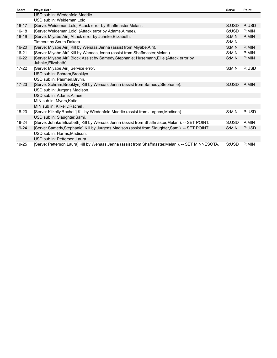| Score     | Plays: Set 1                                                                                                     | <b>Serve</b> | Point |
|-----------|------------------------------------------------------------------------------------------------------------------|--------------|-------|
|           | USD sub in: Wiedenfeld.Maddie.                                                                                   |              |       |
|           | USD sub in: Weideman, Lolo.                                                                                      |              |       |
| $16 - 17$ | [Serve: Weideman, Lolo] Attack error by Shaffmaster, Melani.                                                     | S:USD        | P:USD |
| $16 - 18$ | [Serve: Weideman, Lolo] (Attack error by Adams, Aimee).                                                          | S:USD        | P:MIN |
| $16 - 19$ | [Serve: Miyabe, Airi] Attack error by Juhnke, Elizabeth.                                                         | S:MIN        | P:MIN |
|           | Timeout by South Dakota.                                                                                         | S:MIN        |       |
| $16 - 20$ | [Serve: Miyabe, Airi] Kill by Wenaas, Jenna (assist from Miyabe, Airi).                                          | S:MIN        | P:MIN |
| $16 - 21$ | [Serve: Miyabe, Airi] Kill by Wenaas, Jenna (assist from Shaffmaster, Melani).                                   | S:MIN        | P:MIN |
| $16 - 22$ | [Serve: Miyabe, Airi] Block Assist by Samedy, Stephanie; Husemann, Ellie (Attack error by<br>Juhnke, Elizabeth). | S:MIN        | P:MIN |
| 17-22     | [Serve: Miyabe, Airi] Service error.                                                                             | S:MIN        | P:USD |
|           | USD sub in: Schram, Brooklyn.                                                                                    |              |       |
|           | USD sub in: Paumen, Brynn.                                                                                       |              |       |
| $17 - 23$ | [Serve: Schram, Brooklyn] Kill by Wenaas, Jenna (assist from Samedy, Stephanie).                                 | S:USD        | P:MIN |
|           | USD sub in: Jurgens, Madison.                                                                                    |              |       |
|           | USD sub in: Adams, Aimee.                                                                                        |              |       |
|           | MIN sub in: Myers, Katie.                                                                                        |              |       |
|           | MIN sub in: Kilkelly, Rachel.                                                                                    |              |       |
| 18-23     | [Serve: Kilkelly, Rachel ] Kill by Wiedenfeld, Maddie (assist from Jurgens, Madison).                            | S:MIN        | P:USD |
|           | USD sub in: Slaughter, Sami.                                                                                     |              |       |
| 18-24     | [Serve: Juhnke, Elizabeth] Kill by Wenaas, Jenna (assist from Shaffmaster, Melani). -- SET POINT.                | S:USD        | P:MIN |
| $19 - 24$ | [Serve: Samedy, Stephanie] Kill by Jurgens, Madison (assist from Slaughter, Sami). -- SET POINT.                 | S:MIN        | P:USD |
|           | USD sub in: Harms, Madison.                                                                                      |              |       |
|           | USD sub in: Petterson, Laura.                                                                                    |              |       |
| 19-25     | [Serve: Petterson,Laura] Kill by Wenaas,Jenna (assist from Shaffmaster,Melani). -- SET MINNESOTA.                | S:USD        | P:MIN |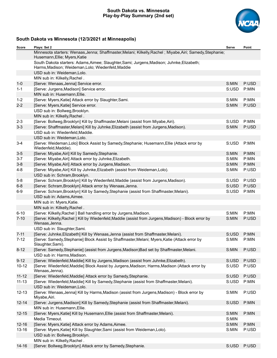# **South Dakota vs. Minnesota Play-by-Play Summary (2nd set)**



# **South Dakota vs Minnesota (12/3/2021 at Minneapolis)**

| Score     | Plays: Set 2                                                                                                                                     | Serve | Point |
|-----------|--------------------------------------------------------------------------------------------------------------------------------------------------|-------|-------|
|           | Minnesota starters: Wenaas, Jenna; Shaffmaster, Melani; Kilkelly, Rachel; Miyabe, Airi; Samedy, Stephanie;<br>Husemann, Ellie; Myers, Katie      |       |       |
|           | South Dakota starters: Adams, Aimee; Slaughter, Sami; Jurgens, Madison; Juhnke, Elizabeth;<br>Harms, Madison; Weideman, Lolo; Wiedenfeld, Maddie |       |       |
|           | USD sub in: Weideman, Lolo.                                                                                                                      |       |       |
|           | MIN sub in: Kilkelly, Rachel.                                                                                                                    |       |       |
| $1 - 0$   | [Serve: Wenaas, Jenna] Service error.                                                                                                            | S:MIN | P:USD |
| $1 - 1$   | [Serve: Jurgens, Madison] Service error.                                                                                                         | S:USD | P:MIN |
|           | MIN sub in: Husemann, Ellie.                                                                                                                     |       |       |
| $1 - 2$   | [Serve: Myers, Katie] Attack error by Slaughter, Sami.                                                                                           | S:MIN | P:MIN |
| $2 - 2$   | [Serve: Myers, Katie] Service error.                                                                                                             | S:MIN | P:USD |
|           | USD sub in: Bollweg, Brooklyn.                                                                                                                   |       |       |
|           | MIN sub in: Kilkelly, Rachel.                                                                                                                    |       |       |
| $2 - 3$   | [Serve: Bollweg, Brooklyn] Kill by Shaffmaster, Melani (assist from Miyabe, Airi).                                                               | S:USD | P:MIN |
| $3 - 3$   | [Serve: Shaffmaster, Melani] Kill by Juhnke, Elizabeth (assist from Jurgens, Madison).                                                           | S:MIN | P:USD |
|           | USD sub in: Wiedenfeld, Maddie.                                                                                                                  |       |       |
|           | USD sub in: Weideman, Lolo.                                                                                                                      |       |       |
| $3 - 4$   | [Serve: Weideman, Lolo] Block Assist by Samedy, Stephanie; Husemann, Ellie (Attack error by                                                      | S:USD | P:MIN |
|           | Wiedenfeld, Maddie).                                                                                                                             |       |       |
| $3-5$     | [Serve: Miyabe, Airi] Kill by Samedy, Stephanie.                                                                                                 | S:MIN | P:MIN |
| $3 - 7$   | [Serve: Miyabe, Airi] Attack error by Juhnke, Elizabeth.                                                                                         | S:MIN | P:MIN |
| $3 - 8$   | [Serve: Miyabe, Airi] Attack error by Jurgens, Madison.                                                                                          | S:MIN | P:MIN |
| $4 - 8$   | [Serve: Miyabe, Airi] Kill by Juhnke, Elizabeth (assist from Weideman, Lolo).                                                                    | S:MIN | P:USD |
|           | USD sub in: Schram, Brooklyn.                                                                                                                    |       |       |
| $5-8$     | [Serve: Schram, Brooklyn] Kill by Wiedenfeld, Maddie (assist from Jurgens, Madison).                                                             | S:USD | P:USD |
| $6 - 8$   | [Serve: Schram, Brooklyn] Attack error by Wenaas, Jenna.                                                                                         | S:USD | P:USD |
| $6-9$     | [Serve: Schram, Brooklyn] Kill by Samedy, Stephanie (assist from Shaffmaster, Melani).                                                           | S:USD | P:MIN |
|           | USD sub in: Adams, Aimee.                                                                                                                        |       |       |
|           | MIN sub in: Myers, Katie.                                                                                                                        |       |       |
|           | MIN sub in: Kilkelly, Rachel.                                                                                                                    |       |       |
| $6 - 10$  | [Serve: Kilkelly, Rachel ] Ball handling error by Jurgens, Madison.                                                                              | S:MIN | P:MIN |
| $7 - 10$  | [Serve: Kilkelly, Rachel ] Kill by Wiedenfeld, Maddie (assist from Jurgens, Madison) - Block error by<br>Wenaas, Jenna.                          | S:MIN | P:USD |
|           | USD sub in: Slaughter, Sami.                                                                                                                     |       |       |
| $7 - 11$  | [Serve: Juhnke, Elizabeth] Kill by Wenaas, Jenna (assist from Shaffmaster, Melani).                                                              | S:USD | P:MIN |
| $7 - 12$  | [Serve: Samedy, Stephanie] Block Assist by Shaffmaster, Melani; Myers, Katie (Attack error by<br>Slaughter, Sami).                               | S:MIN | P:MIN |
| $8 - 12$  | [Serve: Samedy, Stephanie] (assist from Jurgens, Madison) Bad set by Shaffmaster, Melani.                                                        | S:MIN | P:USD |
|           | USD sub in: Harms, Madison.                                                                                                                      |       |       |
| $9 - 12$  | [Serve: Wiedenfeld, Maddie] Kill by Jurgens, Madison (assist from Juhnke, Elizabeth).                                                            | S:USD | P:USD |
| $10 - 12$ | [Serve: Wiedenfeld, Maddie] Block Assist by Jurgens, Madison; Harms, Madison (Attack error by<br>Wenaas, Jenna).                                 | S:USD | P:USD |
| $11 - 12$ | [Serve: Wiedenfeld, Maddie] Attack error by Samedy, Stephanie.                                                                                   | S:USD | P:USD |
| $11 - 13$ | [Serve: Wiedenfeld, Maddie] Kill by Samedy, Stephanie (assist from Shaffmaster, Melani).                                                         | S:USD | P:MIN |
|           | USD sub in: Weideman, Lolo.                                                                                                                      |       |       |
| $12 - 13$ | [Serve: Wenaas, Jenna] Kill by Harms, Madison (assist from Jurgens, Madison) - Block error by<br>Miyabe, Airi.                                   | S:MIN | P:USD |
| $12 - 14$ | [Serve: Jurgens, Madison] Kill by Samedy, Stephanie (assist from Shaffmaster, Melani).                                                           | S:USD | P:MIN |
|           | MIN sub in: Husemann, Ellie.                                                                                                                     |       |       |
| $12 - 15$ | [Serve: Myers, Katie] Kill by Husemann, Ellie (assist from Shaffmaster, Melani).                                                                 | S:MIN | P:MIN |
|           | Media Timeout.                                                                                                                                   | S:MIN |       |
| $12 - 16$ | [Serve: Myers, Katie] Attack error by Adams, Aimee.                                                                                              | S:MIN | P:MIN |
| $13 - 16$ | [Serve: Myers, Katie] Kill by Slaughter, Sami (assist from Weideman, Lolo).                                                                      | S:MIN | P:USD |
|           | USD sub in: Bollweg, Brooklyn.                                                                                                                   |       |       |
|           | MIN sub in: Kilkelly, Rachel.                                                                                                                    |       |       |
| $14 - 16$ | [Serve: Bollweg, Brooklyn] Attack error by Samedy, Stephanie.                                                                                    | S:USD | P:USD |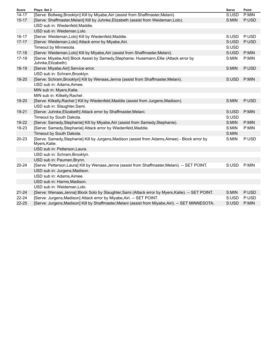| <b>Score</b> | Plays: Set 2                                                                                                     | Serve | Point |
|--------------|------------------------------------------------------------------------------------------------------------------|-------|-------|
| $14 - 17$    | [Serve: Bollweg, Brooklyn] Kill by Miyabe, Airi (assist from Shaffmaster, Melani).                               | S:USD | P:MIN |
| $15 - 17$    | [Serve: Shaffmaster, Melani] Kill by Juhnke, Elizabeth (assist from Weideman, Lolo).                             | S:MIN | P:USD |
|              | USD sub in: Wiedenfeld, Maddie.                                                                                  |       |       |
|              | USD sub in: Weideman, Lolo.                                                                                      |       |       |
| $16 - 17$    | [Serve: Weideman, Lolo] Kill by Wiedenfeld, Maddie.                                                              | S:USD | P:USD |
| $17 - 17$    | [Serve: Weideman, Lolo] Attack error by Miyabe, Airi.                                                            | S:USD | P:USD |
|              | Timeout by Minnesota.                                                                                            | S:USD |       |
| $17 - 18$    | [Serve: Weideman, Lolo] Kill by Miyabe, Airi (assist from Shaffmaster, Melani).                                  | S:USD | P:MIN |
| 17-19        | [Serve: Miyabe, Airi] Block Assist by Samedy, Stephanie; Husemann, Ellie (Attack error by<br>Juhnke, Elizabeth). | S:MIN | P:MIN |
| 18-19        | [Serve: Miyabe, Airi] Service error.                                                                             | S:MIN | P:USD |
|              | USD sub in: Schram, Brooklyn.                                                                                    |       |       |
| 18-20        | [Serve: Schram, Brooklyn] Kill by Wenaas, Jenna (assist from Shaffmaster, Melani).                               | S:USD | P:MIN |
|              | USD sub in: Adams, Aimee.                                                                                        |       |       |
|              | MIN sub in: Myers, Katie.                                                                                        |       |       |
|              | MIN sub in: Kilkelly, Rachel.                                                                                    |       |       |
| 19-20        | [Serve: Kilkelly, Rachel ] Kill by Wiedenfeld, Maddie (assist from Jurgens, Madison).                            | S:MIN | P:USD |
|              | USD sub in: Slaughter, Sami.                                                                                     |       |       |
| 19-21        | [Serve: Juhnke, Elizabeth] Attack error by Shaffmaster, Melani.                                                  | S:USD | P:MIN |
|              | Timeout by South Dakota.                                                                                         | S:USD |       |
| 19-22        | [Serve: Samedy, Stephanie] Kill by Miyabe, Airi (assist from Samedy, Stephanie).                                 | S:MIN | P:MIN |
| 19-23        | [Serve: Samedy, Stephanie] Attack error by Wiedenfeld, Maddie.                                                   | S:MIN | P:MIN |
|              | Timeout by South Dakota.                                                                                         | S:MIN |       |
| $20 - 23$    | [Serve: Samedy, Stephanie] Kill by Jurgens, Madison (assist from Adams, Aimee) - Block error by<br>Myers, Katie. | S:MIN | P:USD |
|              | USD sub in: Petterson, Laura.                                                                                    |       |       |
|              | USD sub in: Schram, Brooklyn.                                                                                    |       |       |
|              | USD sub in: Paumen, Brynn.                                                                                       |       |       |
| $20 - 24$    | [Serve: Petterson, Laura] Kill by Wenaas, Jenna (assist from Shaffmaster, Melani). -- SET POINT.                 | S:USD | P:MIN |
|              | USD sub in: Jurgens, Madison.                                                                                    |       |       |
|              | USD sub in: Adams, Aimee.                                                                                        |       |       |
|              | USD sub in: Harms, Madison.                                                                                      |       |       |
|              | USD sub in: Weideman, Lolo.                                                                                      |       |       |
| $21 - 24$    | [Serve: Wenaas, Jenna] Block Solo by Slaughter, Sami (Attack error by Myers, Katie). -- SET POINT.               | S:MIN | P:USD |
| $22 - 24$    | [Serve: Jurgens, Madison] Attack error by Miyabe, Airi. -- SET POINT.                                            | S:USD | P:USD |
| $22 - 25$    | [Serve: Jurgens, Madison] Kill by Shaffmaster, Melani (assist from Miyabe, Airi). -- SET MINNESOTA.              | S:USD | P:MIN |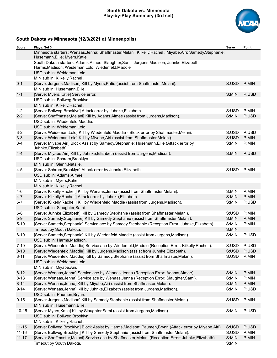# **South Dakota vs. Minnesota Play-by-Play Summary (3rd set)**



# **South Dakota vs Minnesota (12/3/2021 at Minneapolis)**

| Score     | Plays: Set 3                                                                                                                                     | Serve | Point |
|-----------|--------------------------------------------------------------------------------------------------------------------------------------------------|-------|-------|
|           | Minnesota starters: Wenaas, Jenna; Shaffmaster, Melani; Kilkelly, Rachel; Miyabe, Airi; Samedy, Stephanie;<br>Husemann, Ellie; Myers, Katie      |       |       |
|           | South Dakota starters: Adams, Aimee; Slaughter, Sami; Jurgens, Madison; Juhnke, Elizabeth;<br>Harms, Madison; Weideman, Lolo; Wiedenfeld, Maddie |       |       |
|           | USD sub in: Weideman, Lolo.                                                                                                                      |       |       |
|           | MIN sub in: Kilkelly, Rachel.                                                                                                                    |       |       |
| $0 - 1$   | [Serve: Jurgens, Madison] Kill by Myers, Katie (assist from Shaffmaster, Melani).<br>MIN sub in: Husemann, Ellie.                                | S:USD | P:MIN |
| $1 - 1$   | [Serve: Myers, Katie] Service error.                                                                                                             | S:MIN | P:USD |
|           | USD sub in: Bollweg, Brooklyn.                                                                                                                   |       |       |
|           | MIN sub in: Kilkelly, Rachel.                                                                                                                    |       |       |
| $1 - 2$   | [Serve: Bollweg, Brooklyn] Attack error by Juhnke, Elizabeth.                                                                                    | S:USD | P:MIN |
| $2 - 2$   | [Serve: Shaffmaster, Melani] Kill by Adams, Aimee (assist from Jurgens, Madison).                                                                | S:MIN | P:USD |
|           | USD sub in: Wiedenfeld, Maddie.                                                                                                                  |       |       |
|           | USD sub in: Weideman, Lolo.                                                                                                                      |       |       |
| $3 - 2$   | [Serve: Weideman, Lolo] Kill by Wiedenfeld, Maddie - Block error by Shaffmaster, Melani.                                                         | S:USD | P:USD |
| $3 - 3$   | [Serve: Weideman, Lolo] Kill by Miyabe, Airi (assist from Shaffmaster, Melani).                                                                  | S:USD | P:MIN |
| $3-4$     | [Serve: Miyabe, Airi] Block Assist by Samedy, Stephanie; Husemann, Ellie (Attack error by<br>Juhnke, Elizabeth).                                 | S:MIN | P:MIN |
| $4 - 4$   | [Serve: Miyabe, Airi] Kill by Juhnke, Elizabeth (assist from Jurgens, Madison).                                                                  | S:MIN | P:USD |
|           | USD sub in: Schram, Brooklyn.                                                                                                                    |       |       |
|           | MIN sub in: Glenn, Natalie.                                                                                                                      |       |       |
| $4 - 5$   | [Serve: Schram, Brooklyn] Attack error by Juhnke, Elizabeth.                                                                                     | S:USD | P:MIN |
|           | USD sub in: Adams, Aimee.                                                                                                                        |       |       |
|           | MIN sub in: Myers, Katie.                                                                                                                        |       |       |
|           | MIN sub in: Kilkelly, Rachel.                                                                                                                    |       |       |
| $4-6$     | [Serve: Kilkelly, Rachel ] Kill by Wenaas, Jenna (assist from Shaffmaster, Melani).                                                              | S:MIN | P:MIN |
| $4 - 7$   | [Serve: Kilkelly, Rachel ] Attack error by Juhnke, Elizabeth.                                                                                    | S:MIN | P:MIN |
| $5 - 7$   | [Serve: Kilkelly, Rachel ] Kill by Wiedenfeld, Maddie (assist from Jurgens, Madison).                                                            | S:MIN | P:USD |
|           | USD sub in: Slaughter, Sami.                                                                                                                     |       |       |
| $5-8$     | [Serve: Juhnke, Elizabeth] Kill by Samedy, Stephanie (assist from Shaffmaster, Melani).                                                          | S:USD | P:MIN |
| $5-9$     | [Serve: Samedy, Stephanie] Kill by Samedy, Stephanie (assist from Shaffmaster, Melani).                                                          | S:MIN | P:MIN |
| $5 - 10$  | [Serve: Samedy, Stephanie] Service ace by Samedy, Stephanie (Reception Error: Juhnke, Elizabeth).                                                | S:MIN | P:MIN |
|           | Timeout by South Dakota.                                                                                                                         | S:MIN |       |
| $6 - 10$  | [Serve: Samedy, Stephanie] Kill by Wiedenfeld, Maddie (assist from Jurgens, Madison).<br>USD sub in: Harms, Madison.                             | S:MIN | P:USD |
| $7 - 10$  | [Serve: Wiedenfeld, Maddie] Service ace by Wiedenfeld, Maddie (Reception Error: Kilkelly, Rachel).                                               | S:USD | P:USD |
| $8 - 10$  | [Serve: Wiedenfeld, Maddie] Kill by Jurgens, Madison (assist from Juhnke, Elizabeth).                                                            | S:USD | P:USD |
| $8 - 11$  | [Serve: Wiedenfeld, Maddie] Kill by Samedy, Stephanie (assist from Shaffmaster, Melani).                                                         | S:USD | P:MIN |
|           | USD sub in: Weideman, Lolo.                                                                                                                      |       |       |
|           | MIN sub in: Miyabe, Airi.                                                                                                                        |       |       |
| $8 - 12$  | [Serve: Wenaas, Jenna] Service ace by Wenaas, Jenna (Reception Error: Adams, Aimee).                                                             | S:MIN | P:MIN |
| $8 - 13$  | [Serve: Wenaas, Jenna] Service ace by Wenaas, Jenna (Reception Error: Slaughter, Sami).                                                          | S:MIN | P:MIN |
| $8 - 14$  | [Serve: Wenaas, Jenna] Kill by Miyabe, Airi (assist from Shaffmaster, Melani).                                                                   | S:MIN | P:MIN |
| $9 - 14$  | [Serve: Wenaas, Jenna] Kill by Juhnke, Elizabeth (assist from Jurgens, Madison).                                                                 | S:MIN | P:USD |
|           | USD sub in: Paumen, Brynn.                                                                                                                       |       |       |
| $9 - 15$  | [Serve: Jurgens, Madison] Kill by Samedy, Stephanie (assist from Shaffmaster, Melani).                                                           | S:USD | P:MIN |
|           | MIN sub in: Husemann, Ellie.                                                                                                                     |       |       |
| $10 - 15$ | [Serve: Myers, Katie] Kill by Slaughter, Sami (assist from Jurgens, Madison).                                                                    | S:MIN | P:USD |
|           | USD sub in: Bollweg, Brooklyn.                                                                                                                   |       |       |
|           | MIN sub in: Kilkelly, Rachel.                                                                                                                    |       |       |
| $11 - 15$ | [Serve: Bollweg, Brooklyn] Block Assist by Harms, Madison; Paumen, Brynn (Attack error by Miyabe, Airi).                                         | S:USD | P:USD |
| $11 - 16$ | [Serve: Bollweg, Brooklyn] Kill by Samedy, Stephanie (assist from Shaffmaster, Melani).                                                          | S:USD | P:MIN |
| $11 - 17$ | [Serve: Shaffmaster, Melani] Service ace by Shaffmaster, Melani (Reception Error: Juhnke, Elizabeth).                                            | S:MIN | P:MIN |
|           | Timeout by South Dakota.                                                                                                                         | S:MIN |       |